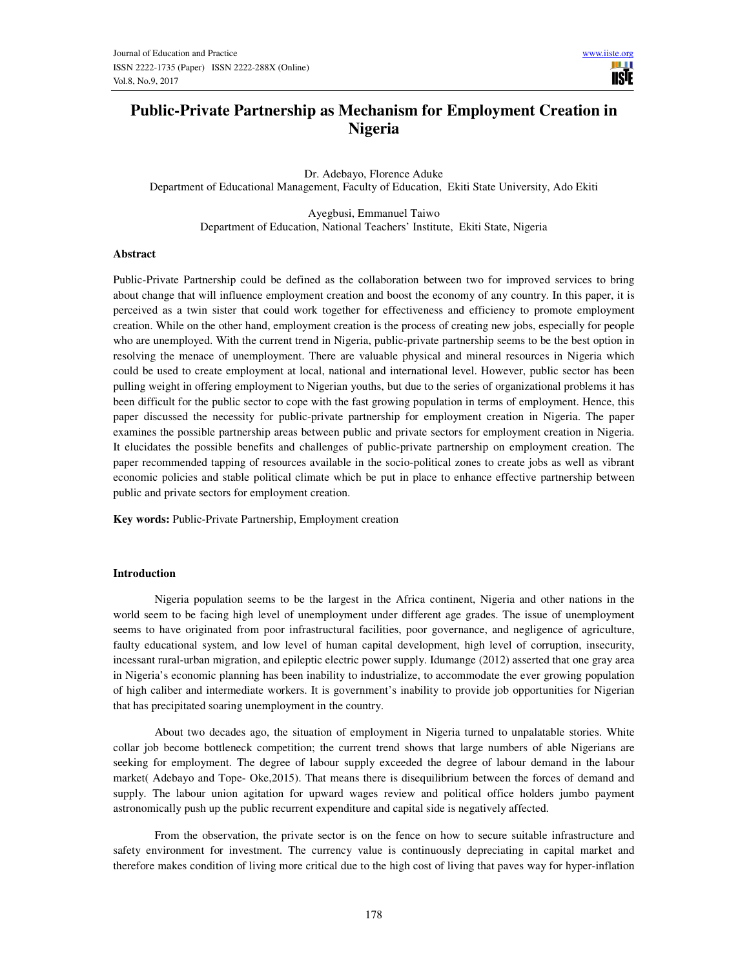# **Public-Private Partnership as Mechanism for Employment Creation in Nigeria**

Dr. Adebayo, Florence Aduke Department of Educational Management, Faculty of Education, Ekiti State University, Ado Ekiti

> Ayegbusi, Emmanuel Taiwo Department of Education, National Teachers' Institute, Ekiti State, Nigeria

#### **Abstract**

Public-Private Partnership could be defined as the collaboration between two for improved services to bring about change that will influence employment creation and boost the economy of any country. In this paper, it is perceived as a twin sister that could work together for effectiveness and efficiency to promote employment creation. While on the other hand, employment creation is the process of creating new jobs, especially for people who are unemployed. With the current trend in Nigeria, public-private partnership seems to be the best option in resolving the menace of unemployment. There are valuable physical and mineral resources in Nigeria which could be used to create employment at local, national and international level. However, public sector has been pulling weight in offering employment to Nigerian youths, but due to the series of organizational problems it has been difficult for the public sector to cope with the fast growing population in terms of employment. Hence, this paper discussed the necessity for public-private partnership for employment creation in Nigeria. The paper examines the possible partnership areas between public and private sectors for employment creation in Nigeria. It elucidates the possible benefits and challenges of public-private partnership on employment creation. The paper recommended tapping of resources available in the socio-political zones to create jobs as well as vibrant economic policies and stable political climate which be put in place to enhance effective partnership between public and private sectors for employment creation.

**Key words:** Public-Private Partnership, Employment creation

#### **Introduction**

 Nigeria population seems to be the largest in the Africa continent, Nigeria and other nations in the world seem to be facing high level of unemployment under different age grades. The issue of unemployment seems to have originated from poor infrastructural facilities, poor governance, and negligence of agriculture, faulty educational system, and low level of human capital development, high level of corruption, insecurity, incessant rural-urban migration, and epileptic electric power supply. Idumange (2012) asserted that one gray area in Nigeria's economic planning has been inability to industrialize, to accommodate the ever growing population of high caliber and intermediate workers. It is government's inability to provide job opportunities for Nigerian that has precipitated soaring unemployment in the country.

 About two decades ago, the situation of employment in Nigeria turned to unpalatable stories. White collar job become bottleneck competition; the current trend shows that large numbers of able Nigerians are seeking for employment. The degree of labour supply exceeded the degree of labour demand in the labour market( Adebayo and Tope- Oke,2015). That means there is disequilibrium between the forces of demand and supply. The labour union agitation for upward wages review and political office holders jumbo payment astronomically push up the public recurrent expenditure and capital side is negatively affected.

 From the observation, the private sector is on the fence on how to secure suitable infrastructure and safety environment for investment. The currency value is continuously depreciating in capital market and therefore makes condition of living more critical due to the high cost of living that paves way for hyper-inflation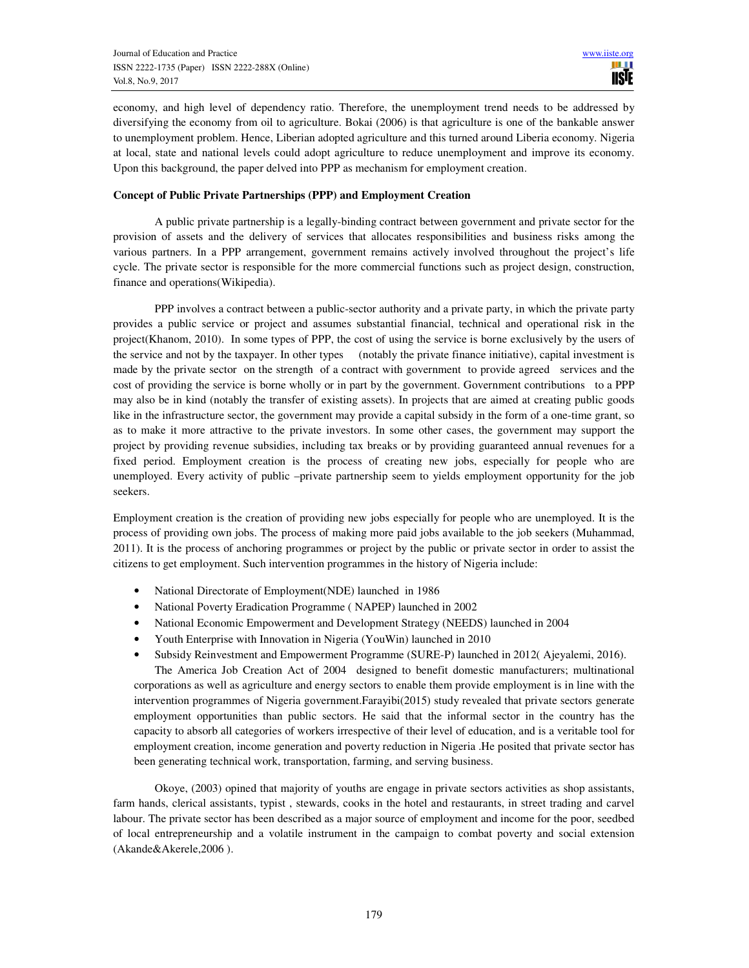economy, and high level of dependency ratio. Therefore, the unemployment trend needs to be addressed by diversifying the economy from oil to agriculture. Bokai (2006) is that agriculture is one of the bankable answer to unemployment problem. Hence, Liberian adopted agriculture and this turned around Liberia economy. Nigeria at local, state and national levels could adopt agriculture to reduce unemployment and improve its economy. Upon this background, the paper delved into PPP as mechanism for employment creation.

## **Concept of Public Private Partnerships (PPP) and Employment Creation**

 A public private partnership is a legally-binding contract between government and private sector for the provision of assets and the delivery of services that allocates responsibilities and business risks among the various partners. In a PPP arrangement, government remains actively involved throughout the project's life cycle. The private sector is responsible for the more commercial functions such as project design, construction, finance and operations(Wikipedia).

 PPP involves a contract between a public-sector authority and a private party, in which the private party provides a public service or project and assumes substantial financial, technical and operational risk in the project(Khanom, 2010). In some types of PPP, the cost of using the service is borne exclusively by the users of the service and not by the taxpayer. In other types (notably the private finance initiative), capital investment is made by the private sector on the strength of a contract with government to provide agreed services and the cost of providing the service is borne wholly or in part by the government. Government contributions to a PPP may also be in kind (notably the transfer of existing assets). In projects that are aimed at creating public goods like in the infrastructure sector, the government may provide a capital subsidy in the form of a one-time grant, so as to make it more attractive to the private investors. In some other cases, the government may support the project by providing revenue subsidies, including tax breaks or by providing guaranteed annual revenues for a fixed period. Employment creation is the process of creating new jobs, especially for people who are unemployed. Every activity of public –private partnership seem to yields employment opportunity for the job seekers.

Employment creation is the creation of providing new jobs especially for people who are unemployed. It is the process of providing own jobs. The process of making more paid jobs available to the job seekers (Muhammad, 2011). It is the process of anchoring programmes or project by the public or private sector in order to assist the citizens to get employment. Such intervention programmes in the history of Nigeria include:

- National Directorate of Employment(NDE) launched in 1986
- National Poverty Eradication Programme (NAPEP) launched in 2002
- National Economic Empowerment and Development Strategy (NEEDS) launched in 2004
- Youth Enterprise with Innovation in Nigeria (YouWin) launched in 2010
- Subsidy Reinvestment and Empowerment Programme (SURE-P) launched in 2012( Ajeyalemi, 2016).

 The America Job Creation Act of 2004 designed to benefit domestic manufacturers; multinational corporations as well as agriculture and energy sectors to enable them provide employment is in line with the intervention programmes of Nigeria government.Farayibi(2015) study revealed that private sectors generate employment opportunities than public sectors. He said that the informal sector in the country has the capacity to absorb all categories of workers irrespective of their level of education, and is a veritable tool for employment creation, income generation and poverty reduction in Nigeria .He posited that private sector has been generating technical work, transportation, farming, and serving business.

Okoye, (2003) opined that majority of youths are engage in private sectors activities as shop assistants, farm hands, clerical assistants, typist , stewards, cooks in the hotel and restaurants, in street trading and carvel labour. The private sector has been described as a major source of employment and income for the poor, seedbed of local entrepreneurship and a volatile instrument in the campaign to combat poverty and social extension (Akande&Akerele,2006 ).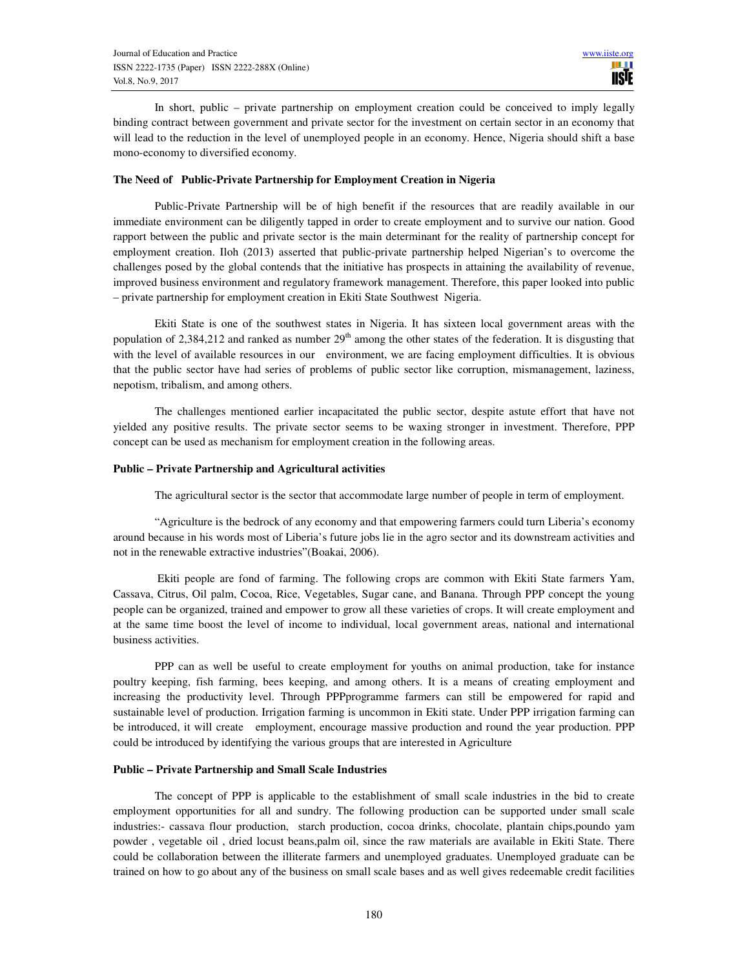In short, public – private partnership on employment creation could be conceived to imply legally binding contract between government and private sector for the investment on certain sector in an economy that will lead to the reduction in the level of unemployed people in an economy. Hence, Nigeria should shift a base mono-economy to diversified economy.

## **The Need of Public-Private Partnership for Employment Creation in Nigeria**

Public-Private Partnership will be of high benefit if the resources that are readily available in our immediate environment can be diligently tapped in order to create employment and to survive our nation. Good rapport between the public and private sector is the main determinant for the reality of partnership concept for employment creation. Iloh (2013) asserted that public-private partnership helped Nigerian's to overcome the challenges posed by the global contends that the initiative has prospects in attaining the availability of revenue, improved business environment and regulatory framework management. Therefore, this paper looked into public – private partnership for employment creation in Ekiti State Southwest Nigeria.

Ekiti State is one of the southwest states in Nigeria. It has sixteen local government areas with the population of 2,384,212 and ranked as number  $29<sup>th</sup>$  among the other states of the federation. It is disgusting that with the level of available resources in our environment, we are facing employment difficulties. It is obvious that the public sector have had series of problems of public sector like corruption, mismanagement, laziness, nepotism, tribalism, and among others.

The challenges mentioned earlier incapacitated the public sector, despite astute effort that have not yielded any positive results. The private sector seems to be waxing stronger in investment. Therefore, PPP concept can be used as mechanism for employment creation in the following areas.

#### **Public – Private Partnership and Agricultural activities**

The agricultural sector is the sector that accommodate large number of people in term of employment.

"Agriculture is the bedrock of any economy and that empowering farmers could turn Liberia's economy around because in his words most of Liberia's future jobs lie in the agro sector and its downstream activities and not in the renewable extractive industries"(Boakai, 2006).

 Ekiti people are fond of farming. The following crops are common with Ekiti State farmers Yam, Cassava, Citrus, Oil palm, Cocoa, Rice, Vegetables, Sugar cane, and Banana. Through PPP concept the young people can be organized, trained and empower to grow all these varieties of crops. It will create employment and at the same time boost the level of income to individual, local government areas, national and international business activities.

PPP can as well be useful to create employment for youths on animal production, take for instance poultry keeping, fish farming, bees keeping, and among others. It is a means of creating employment and increasing the productivity level. Through PPPprogramme farmers can still be empowered for rapid and sustainable level of production. Irrigation farming is uncommon in Ekiti state. Under PPP irrigation farming can be introduced, it will create employment, encourage massive production and round the year production. PPP could be introduced by identifying the various groups that are interested in Agriculture

#### **Public – Private Partnership and Small Scale Industries**

The concept of PPP is applicable to the establishment of small scale industries in the bid to create employment opportunities for all and sundry. The following production can be supported under small scale industries:- cassava flour production, starch production, cocoa drinks, chocolate, plantain chips,poundo yam powder , vegetable oil , dried locust beans,palm oil, since the raw materials are available in Ekiti State. There could be collaboration between the illiterate farmers and unemployed graduates. Unemployed graduate can be trained on how to go about any of the business on small scale bases and as well gives redeemable credit facilities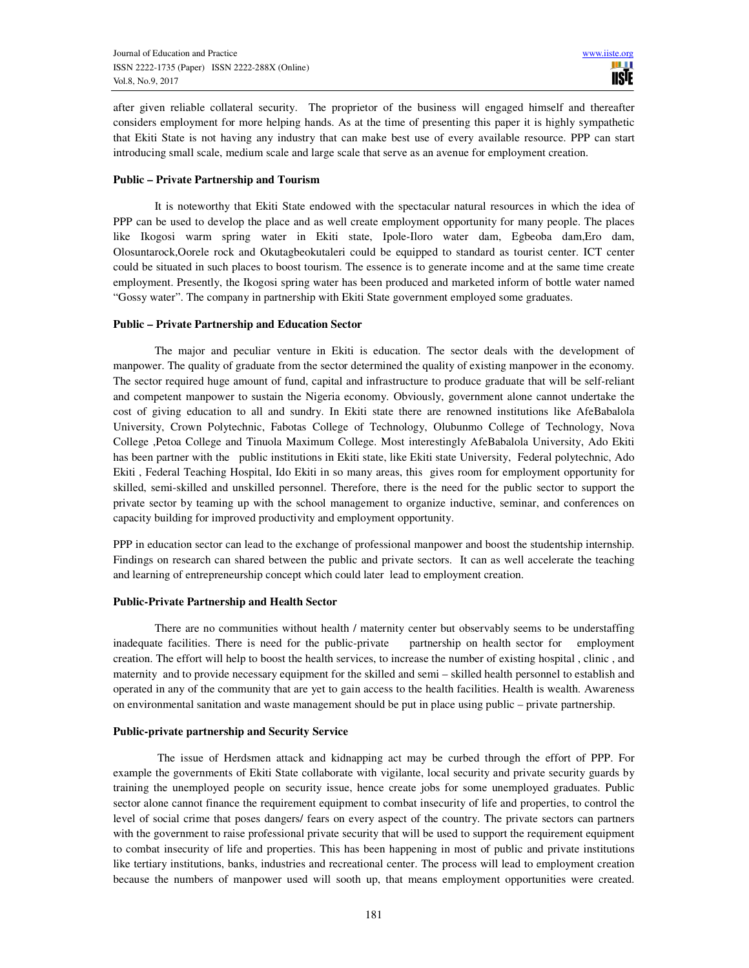after given reliable collateral security. The proprietor of the business will engaged himself and thereafter considers employment for more helping hands. As at the time of presenting this paper it is highly sympathetic that Ekiti State is not having any industry that can make best use of every available resource. PPP can start introducing small scale, medium scale and large scale that serve as an avenue for employment creation.

## **Public – Private Partnership and Tourism**

It is noteworthy that Ekiti State endowed with the spectacular natural resources in which the idea of PPP can be used to develop the place and as well create employment opportunity for many people. The places like Ikogosi warm spring water in Ekiti state, Ipole-Iloro water dam, Egbeoba dam,Ero dam, Olosuntarock,Oorele rock and Okutagbeokutaleri could be equipped to standard as tourist center. ICT center could be situated in such places to boost tourism. The essence is to generate income and at the same time create employment. Presently, the Ikogosi spring water has been produced and marketed inform of bottle water named "Gossy water". The company in partnership with Ekiti State government employed some graduates.

## **Public – Private Partnership and Education Sector**

The major and peculiar venture in Ekiti is education. The sector deals with the development of manpower. The quality of graduate from the sector determined the quality of existing manpower in the economy. The sector required huge amount of fund, capital and infrastructure to produce graduate that will be self-reliant and competent manpower to sustain the Nigeria economy. Obviously, government alone cannot undertake the cost of giving education to all and sundry. In Ekiti state there are renowned institutions like AfeBabalola University, Crown Polytechnic, Fabotas College of Technology, Olubunmo College of Technology, Nova College ,Petoa College and Tinuola Maximum College. Most interestingly AfeBabalola University, Ado Ekiti has been partner with the public institutions in Ekiti state, like Ekiti state University, Federal polytechnic, Ado Ekiti , Federal Teaching Hospital, Ido Ekiti in so many areas, this gives room for employment opportunity for skilled, semi-skilled and unskilled personnel. Therefore, there is the need for the public sector to support the private sector by teaming up with the school management to organize inductive, seminar, and conferences on capacity building for improved productivity and employment opportunity.

PPP in education sector can lead to the exchange of professional manpower and boost the studentship internship. Findings on research can shared between the public and private sectors. It can as well accelerate the teaching and learning of entrepreneurship concept which could later lead to employment creation.

#### **Public-Private Partnership and Health Sector**

There are no communities without health / maternity center but observably seems to be understaffing inadequate facilities. There is need for the public-private partnership on health sector for employment creation. The effort will help to boost the health services, to increase the number of existing hospital , clinic , and maternity and to provide necessary equipment for the skilled and semi – skilled health personnel to establish and operated in any of the community that are yet to gain access to the health facilities. Health is wealth. Awareness on environmental sanitation and waste management should be put in place using public – private partnership.

#### **Public-private partnership and Security Service**

 The issue of Herdsmen attack and kidnapping act may be curbed through the effort of PPP. For example the governments of Ekiti State collaborate with vigilante, local security and private security guards by training the unemployed people on security issue, hence create jobs for some unemployed graduates. Public sector alone cannot finance the requirement equipment to combat insecurity of life and properties, to control the level of social crime that poses dangers/ fears on every aspect of the country. The private sectors can partners with the government to raise professional private security that will be used to support the requirement equipment to combat insecurity of life and properties. This has been happening in most of public and private institutions like tertiary institutions, banks, industries and recreational center. The process will lead to employment creation because the numbers of manpower used will sooth up, that means employment opportunities were created.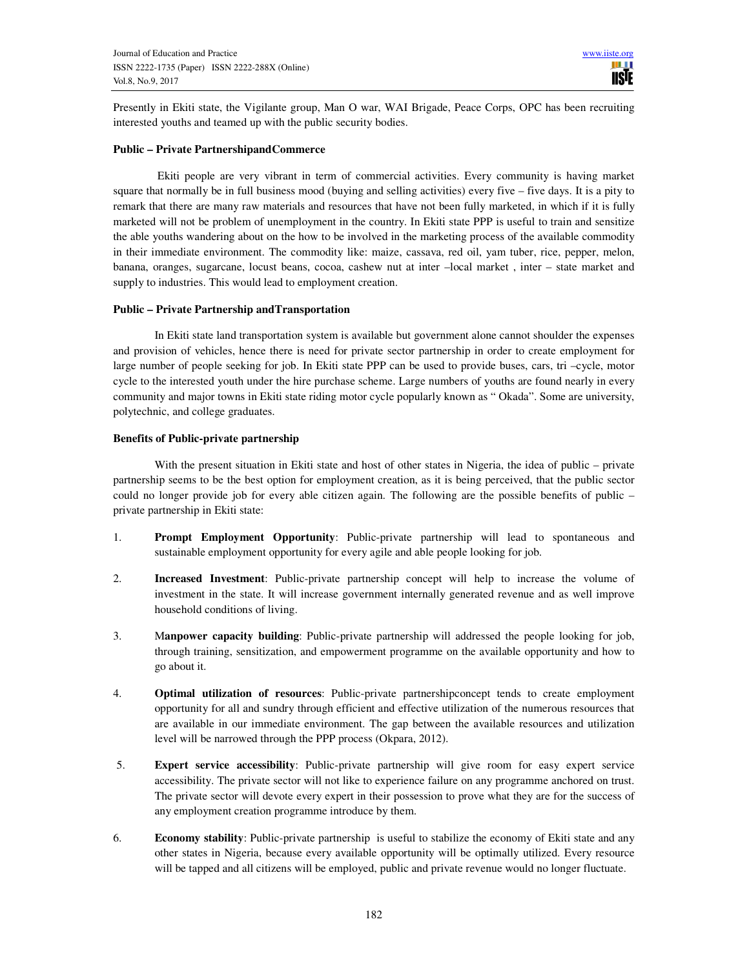Presently in Ekiti state, the Vigilante group, Man O war, WAI Brigade, Peace Corps, OPC has been recruiting interested youths and teamed up with the public security bodies.

## **Public – Private PartnershipandCommerce**

 Ekiti people are very vibrant in term of commercial activities. Every community is having market square that normally be in full business mood (buying and selling activities) every five – five days. It is a pity to remark that there are many raw materials and resources that have not been fully marketed, in which if it is fully marketed will not be problem of unemployment in the country. In Ekiti state PPP is useful to train and sensitize the able youths wandering about on the how to be involved in the marketing process of the available commodity in their immediate environment. The commodity like: maize, cassava, red oil, yam tuber, rice, pepper, melon, banana, oranges, sugarcane, locust beans, cocoa, cashew nut at inter –local market , inter – state market and supply to industries. This would lead to employment creation.

## **Public – Private Partnership andTransportation**

In Ekiti state land transportation system is available but government alone cannot shoulder the expenses and provision of vehicles, hence there is need for private sector partnership in order to create employment for large number of people seeking for job. In Ekiti state PPP can be used to provide buses, cars, tri –cycle, motor cycle to the interested youth under the hire purchase scheme. Large numbers of youths are found nearly in every community and major towns in Ekiti state riding motor cycle popularly known as " Okada". Some are university, polytechnic, and college graduates.

## **Benefits of Public-private partnership**

With the present situation in Ekiti state and host of other states in Nigeria, the idea of public – private partnership seems to be the best option for employment creation, as it is being perceived, that the public sector could no longer provide job for every able citizen again. The following are the possible benefits of public – private partnership in Ekiti state:

- 1. **Prompt Employment Opportunity**: Public-private partnership will lead to spontaneous and sustainable employment opportunity for every agile and able people looking for job.
- 2. **Increased Investment**: Public-private partnership concept will help to increase the volume of investment in the state. It will increase government internally generated revenue and as well improve household conditions of living.
- 3. M**anpower capacity building**: Public-private partnership will addressed the people looking for job, through training, sensitization, and empowerment programme on the available opportunity and how to go about it.
- 4. **Optimal utilization of resources**: Public-private partnershipconcept tends to create employment opportunity for all and sundry through efficient and effective utilization of the numerous resources that are available in our immediate environment. The gap between the available resources and utilization level will be narrowed through the PPP process (Okpara, 2012).
- 5. **Expert service accessibility**: Public-private partnership will give room for easy expert service accessibility. The private sector will not like to experience failure on any programme anchored on trust. The private sector will devote every expert in their possession to prove what they are for the success of any employment creation programme introduce by them.
- 6. **Economy stability**: Public-private partnership is useful to stabilize the economy of Ekiti state and any other states in Nigeria, because every available opportunity will be optimally utilized. Every resource will be tapped and all citizens will be employed, public and private revenue would no longer fluctuate.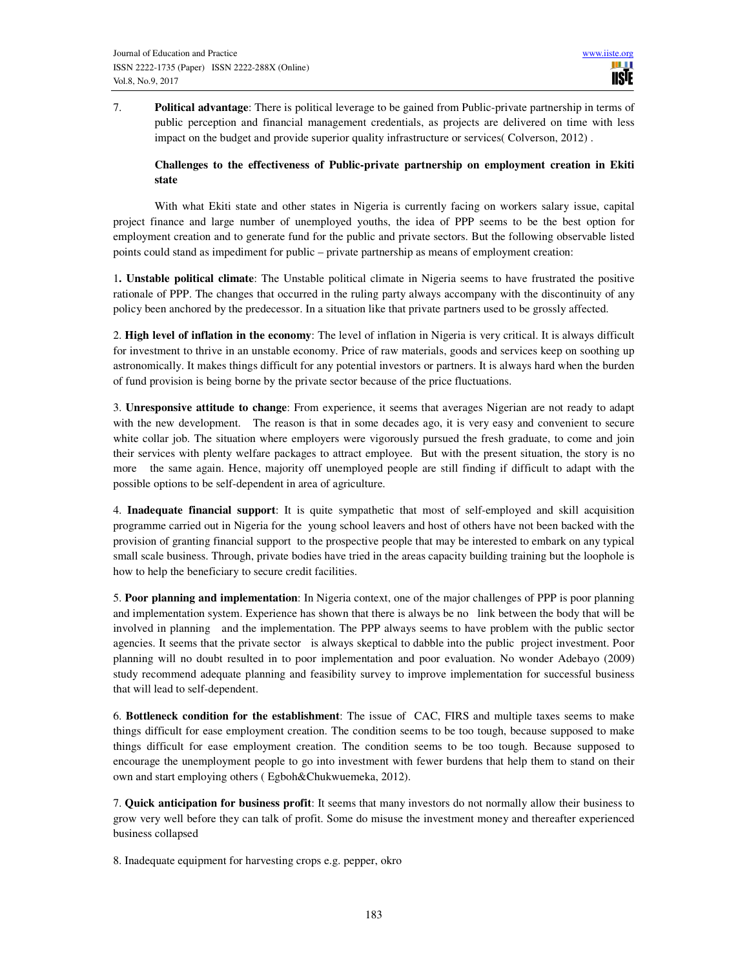7. **Political advantage**: There is political leverage to be gained from Public-private partnership in terms of public perception and financial management credentials, as projects are delivered on time with less impact on the budget and provide superior quality infrastructure or services( Colverson, 2012) .

# **Challenges to the effectiveness of Public-private partnership on employment creation in Ekiti state**

With what Ekiti state and other states in Nigeria is currently facing on workers salary issue, capital project finance and large number of unemployed youths, the idea of PPP seems to be the best option for employment creation and to generate fund for the public and private sectors. But the following observable listed points could stand as impediment for public – private partnership as means of employment creation:

1**. Unstable political climate**: The Unstable political climate in Nigeria seems to have frustrated the positive rationale of PPP. The changes that occurred in the ruling party always accompany with the discontinuity of any policy been anchored by the predecessor. In a situation like that private partners used to be grossly affected.

2. **High level of inflation in the economy**: The level of inflation in Nigeria is very critical. It is always difficult for investment to thrive in an unstable economy. Price of raw materials, goods and services keep on soothing up astronomically. It makes things difficult for any potential investors or partners. It is always hard when the burden of fund provision is being borne by the private sector because of the price fluctuations.

3. **Unresponsive attitude to change**: From experience, it seems that averages Nigerian are not ready to adapt with the new development. The reason is that in some decades ago, it is very easy and convenient to secure white collar job. The situation where employers were vigorously pursued the fresh graduate, to come and join their services with plenty welfare packages to attract employee. But with the present situation, the story is no more the same again. Hence, majority off unemployed people are still finding if difficult to adapt with the possible options to be self-dependent in area of agriculture.

4. **Inadequate financial support**: It is quite sympathetic that most of self-employed and skill acquisition programme carried out in Nigeria for the young school leavers and host of others have not been backed with the provision of granting financial support to the prospective people that may be interested to embark on any typical small scale business. Through, private bodies have tried in the areas capacity building training but the loophole is how to help the beneficiary to secure credit facilities.

5. **Poor planning and implementation**: In Nigeria context, one of the major challenges of PPP is poor planning and implementation system. Experience has shown that there is always be no link between the body that will be involved in planning and the implementation. The PPP always seems to have problem with the public sector agencies. It seems that the private sector is always skeptical to dabble into the public project investment. Poor planning will no doubt resulted in to poor implementation and poor evaluation. No wonder Adebayo (2009) study recommend adequate planning and feasibility survey to improve implementation for successful business that will lead to self-dependent.

6. **Bottleneck condition for the establishment**: The issue of CAC, FIRS and multiple taxes seems to make things difficult for ease employment creation. The condition seems to be too tough, because supposed to make things difficult for ease employment creation. The condition seems to be too tough. Because supposed to encourage the unemployment people to go into investment with fewer burdens that help them to stand on their own and start employing others ( Egboh&Chukwuemeka, 2012).

7. **Quick anticipation for business profit**: It seems that many investors do not normally allow their business to grow very well before they can talk of profit. Some do misuse the investment money and thereafter experienced business collapsed

8. Inadequate equipment for harvesting crops e.g. pepper, okro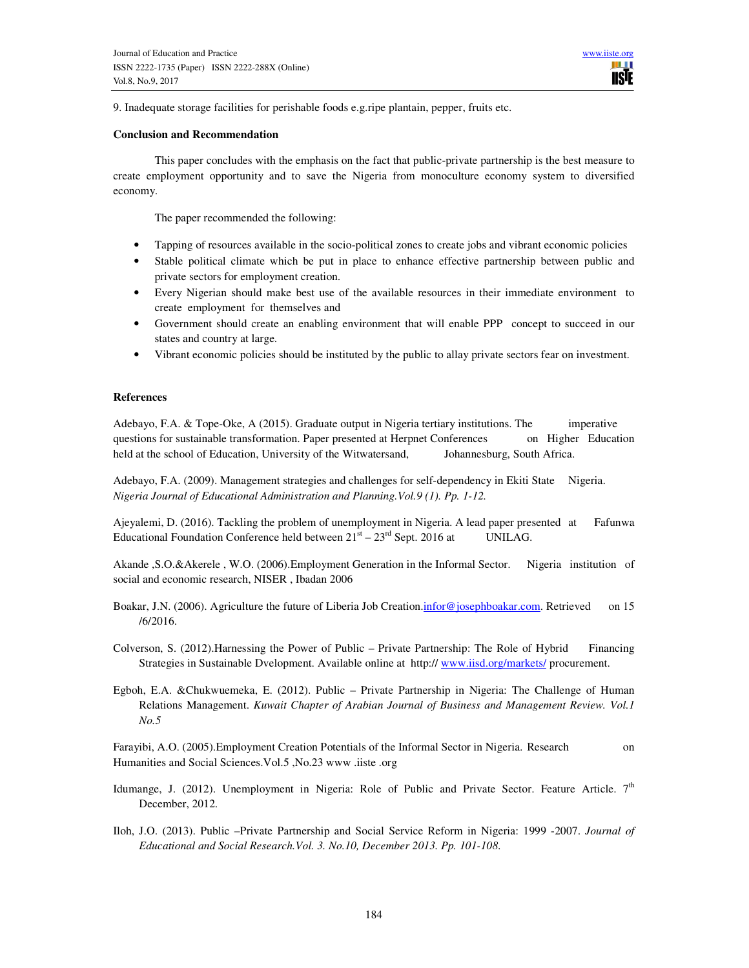9. Inadequate storage facilities for perishable foods e.g.ripe plantain, pepper, fruits etc.

#### **Conclusion and Recommendation**

This paper concludes with the emphasis on the fact that public-private partnership is the best measure to create employment opportunity and to save the Nigeria from monoculture economy system to diversified economy.

The paper recommended the following:

- Tapping of resources available in the socio-political zones to create jobs and vibrant economic policies
- Stable political climate which be put in place to enhance effective partnership between public and private sectors for employment creation.
- Every Nigerian should make best use of the available resources in their immediate environment to create employment for themselves and
- Government should create an enabling environment that will enable PPP concept to succeed in our states and country at large.
- Vibrant economic policies should be instituted by the public to allay private sectors fear on investment.

## **References**

Adebayo, F.A. & Tope-Oke, A (2015). Graduate output in Nigeria tertiary institutions. The imperative questions for sustainable transformation. Paper presented at Herpnet Conferences on Higher Education held at the school of Education, University of the Witwatersand, Johannesburg, South Africa.

Adebayo, F.A. (2009). Management strategies and challenges for self-dependency in Ekiti State Nigeria. *Nigeria Journal of Educational Administration and Planning.Vol.9 (1). Pp. 1-12.* 

Ajeyalemi, D. (2016). Tackling the problem of unemployment in Nigeria. A lead paper presented at Fafunwa Educational Foundation Conference held between  $21<sup>st</sup> - 23<sup>rd</sup>$  Sept. 2016 at UNILAG.

Akande ,S.O.&Akerele , W.O. (2006).Employment Generation in the Informal Sector. Nigeria institution of social and economic research, NISER , Ibadan 2006

Boakar, J.N. (2006). Agriculture the future of Liberia Job Creation.infor@josephboakar.com. Retrieved on 15 /6/2016.

Colverson, S. (2012).Harnessing the Power of Public – Private Partnership: The Role of Hybrid Financing Strategies in Sustainable Dvelopment. Available online at http:// www.iisd.org/markets/ procurement.

Egboh, E.A. &Chukwuemeka, E. (2012). Public – Private Partnership in Nigeria: The Challenge of Human Relations Management. *Kuwait Chapter of Arabian Journal of Business and Management Review. Vol.1 No.5* 

Farayibi, A.O. (2005).Employment Creation Potentials of the Informal Sector in Nigeria. Research on Humanities and Social Sciences.Vol.5 ,No.23 www .iiste .org

- Idumange, J. (2012). Unemployment in Nigeria: Role of Public and Private Sector. Feature Article. 7<sup>th</sup> December, 2012.
- Iloh, J.O. (2013). Public –Private Partnership and Social Service Reform in Nigeria: 1999 -2007. *Journal of Educational and Social Research.Vol. 3. No.10, December 2013. Pp. 101-108*.